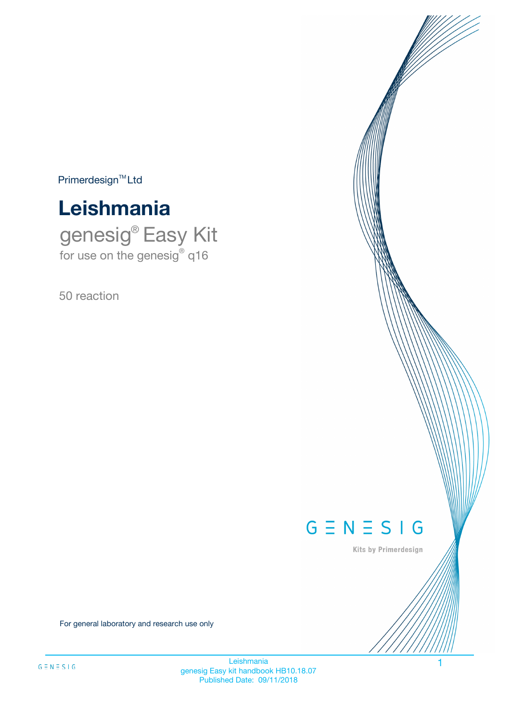$Primerdesign^{\text{TM}}Ltd$ 



genesig® Easy Kit for use on the genesig® q16

50 reaction



Kits by Primerdesign

For general laboratory and research use only

**Leishmania** genesig Easy kit handbook HB10.18.07 Published Date: 09/11/2018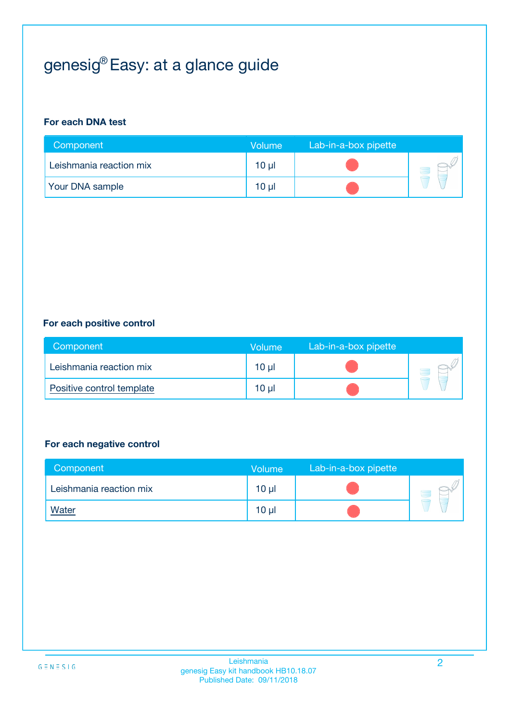# genesig® Easy: at a glance guide

#### **For each DNA test**

| Component               | <b>Volume</b> | Lab-in-a-box pipette |  |
|-------------------------|---------------|----------------------|--|
| Leishmania reaction mix | $10 \mu$      |                      |  |
| <b>Your DNA sample</b>  | $10 \mu$      |                      |  |

#### **For each positive control**

| Component                 | Volume          | Lab-in-a-box pipette |  |
|---------------------------|-----------------|----------------------|--|
| Leishmania reaction mix   | 10 <sub>µ</sub> |                      |  |
| Positive control template | 10 <sub>µ</sub> |                      |  |

#### **For each negative control**

| Component               | <b>Volume</b>   | Lab-in-a-box pipette |  |
|-------------------------|-----------------|----------------------|--|
| Leishmania reaction mix | 10 <sub>µ</sub> |                      |  |
| <u>Water</u>            | 10 <sub>µ</sub> |                      |  |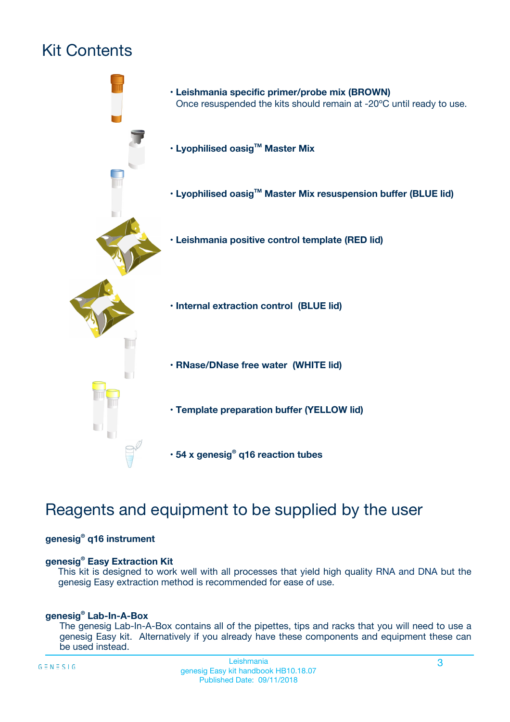# Kit Contents



## Reagents and equipment to be supplied by the user

#### **genesig® q16 instrument**

#### **genesig® Easy Extraction Kit**

This kit is designed to work well with all processes that yield high quality RNA and DNA but the genesig Easy extraction method is recommended for ease of use.

#### **genesig® Lab-In-A-Box**

The genesig Lab-In-A-Box contains all of the pipettes, tips and racks that you will need to use a genesig Easy kit. Alternatively if you already have these components and equipment these can be used instead.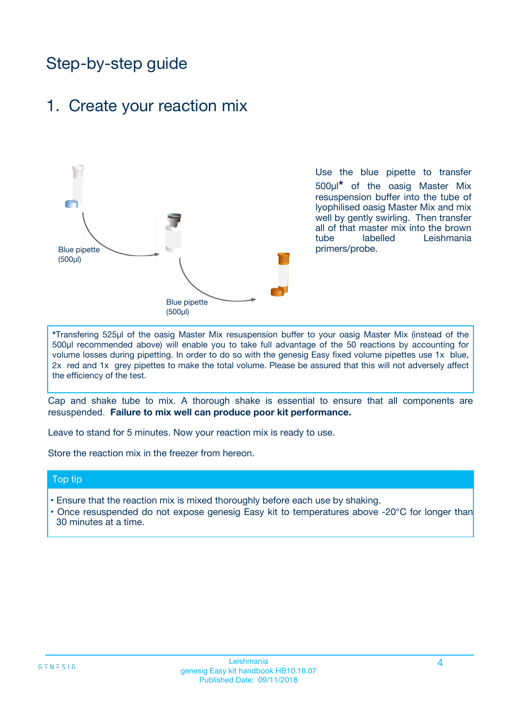## Step-by-step guide

### 1. Create your reaction mix



Use the blue pipette to transfer 500µl**\*** of the oasig Master Mix resuspension buffer into the tube of lyophilised oasig Master Mix and mix well by gently swirling. Then transfer all of that master mix into the brown tube labelled Leishmania primers/probe.

**\***Transfering 525µl of the oasig Master Mix resuspension buffer to your oasig Master Mix (instead of the 500µl recommended above) will enable you to take full advantage of the 50 reactions by accounting for volume losses during pipetting. In order to do so with the genesig Easy fixed volume pipettes use 1x blue, 2x red and 1x grey pipettes to make the total volume. Please be assured that this will not adversely affect the efficiency of the test.

Cap and shake tube to mix. A thorough shake is essential to ensure that all components are resuspended. **Failure to mix well can produce poor kit performance.**

Leave to stand for 5 minutes. Now your reaction mix is ready to use.

Store the reaction mix in the freezer from hereon.

#### Top tip

- Ensure that the reaction mix is mixed thoroughly before each use by shaking.
- Once resuspended do not expose genesig Easy kit to temperatures above -20°C for longer than 30 minutes at a time.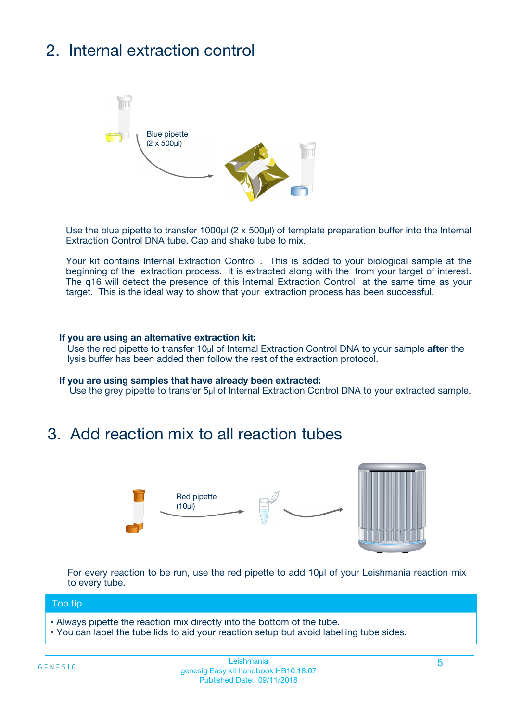# 2. Internal extraction control



Use the blue pipette to transfer 1000µl (2 x 500µl) of template preparation buffer into the Internal Extraction Control DNA tube. Cap and shake tube to mix.

Your kit contains Internal Extraction Control . This is added to your biological sample at the beginning of the extraction process. It is extracted along with the from your target of interest. The q16 will detect the presence of this Internal Extraction Control at the same time as your target. This is the ideal way to show that your extraction process has been successful.

#### **If you are using an alternative extraction kit:**

Use the red pipette to transfer 10µl of Internal Extraction Control DNA to your sample **after** the lysis buffer has been added then follow the rest of the extraction protocol.

#### **If you are using samples that have already been extracted:**

Use the grey pipette to transfer 5µl of Internal Extraction Control DNA to your extracted sample.

### 3. Add reaction mix to all reaction tubes



For every reaction to be run, use the red pipette to add 10µl of your Leishmania reaction mix to every tube.

#### Top tip

- Always pipette the reaction mix directly into the bottom of the tube.
- You can label the tube lids to aid your reaction setup but avoid labelling tube sides.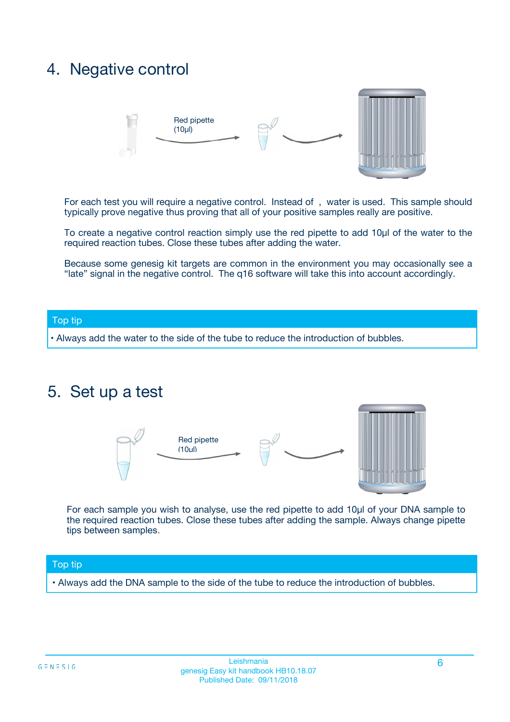### 4. Negative control



For each test you will require a negative control. Instead of , water is used. This sample should typically prove negative thus proving that all of your positive samples really are positive.

To create a negative control reaction simply use the red pipette to add 10µl of the water to the required reaction tubes. Close these tubes after adding the water.

Because some genesig kit targets are common in the environment you may occasionally see a "late" signal in the negative control. The q16 software will take this into account accordingly.

#### Top tip

**•** Always add the water to the side of the tube to reduce the introduction of bubbles.

### 5. Set up a test



For each sample you wish to analyse, use the red pipette to add 10µl of your DNA sample to the required reaction tubes. Close these tubes after adding the sample. Always change pipette tips between samples.

#### Top tip

**•** Always add the DNA sample to the side of the tube to reduce the introduction of bubbles.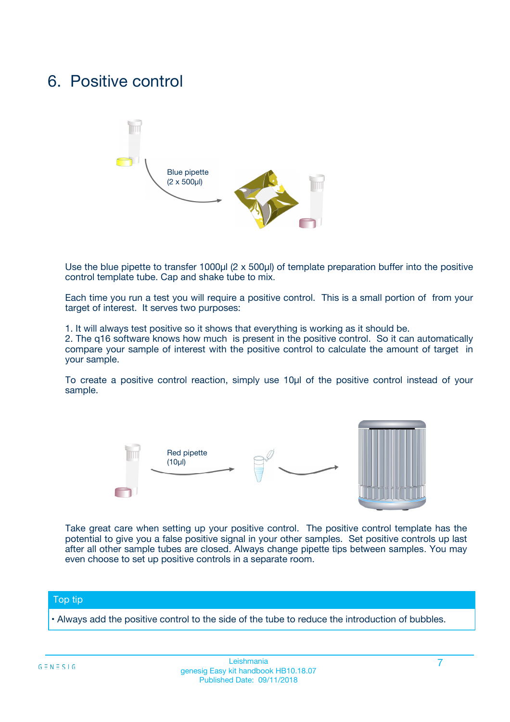### 6. Positive control



Use the blue pipette to transfer 1000µl (2 x 500µl) of template preparation buffer into the positive control template tube. Cap and shake tube to mix.

Each time you run a test you will require a positive control. This is a small portion of from your target of interest. It serves two purposes:

1. It will always test positive so it shows that everything is working as it should be.

2. The q16 software knows how much is present in the positive control. So it can automatically compare your sample of interest with the positive control to calculate the amount of target in your sample.

To create a positive control reaction, simply use 10µl of the positive control instead of your sample.



Take great care when setting up your positive control. The positive control template has the potential to give you a false positive signal in your other samples. Set positive controls up last after all other sample tubes are closed. Always change pipette tips between samples. You may even choose to set up positive controls in a separate room.

#### Top tip

**•** Always add the positive control to the side of the tube to reduce the introduction of bubbles.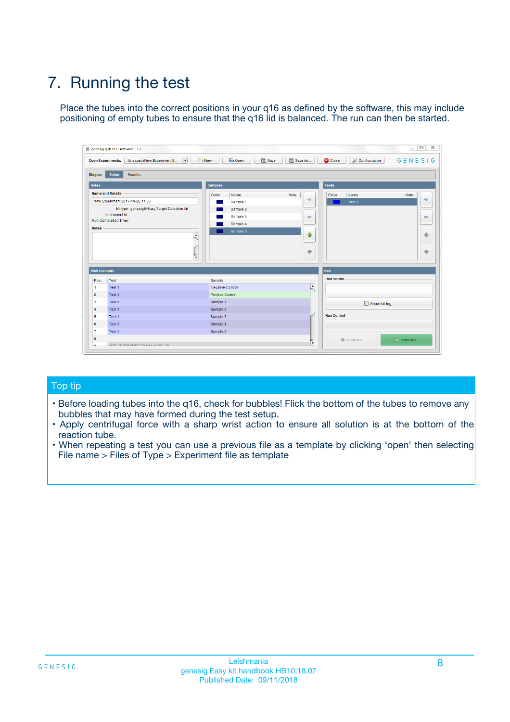# 7. Running the test

Place the tubes into the correct positions in your q16 as defined by the software, this may include positioning of empty tubes to ensure that the q16 lid is balanced. The run can then be started.

| qenesig q16 PCR software - 1.2                                               |                                   | $\Box$                                                                                          |
|------------------------------------------------------------------------------|-----------------------------------|-------------------------------------------------------------------------------------------------|
| $\vert \cdot \vert$<br>Unsaved (New Experiment 2<br><b>Open Experiments:</b> | <b>D</b> Open<br>R <sub>New</sub> | Save<br>Save As<br><b>C</b> Close<br><b>&amp; Configuration</b><br>$G \equiv N \equiv S \mid G$ |
| <b>Setup</b><br><b>Results</b><br>Stages:                                    |                                   |                                                                                                 |
| <b>Notes</b>                                                                 | <b>Samples</b>                    | <b>Tests</b>                                                                                    |
| <b>Name and Details</b>                                                      | Name<br>Color                     | Note<br>Color<br>Note<br>Name                                                                   |
| New Experiment 2017-10-26 11:06                                              | Sample 1                          | ÷<br>条<br>Test 1                                                                                |
| Kit type: genesig® Easy Target Detection kit                                 | Sample 2                          |                                                                                                 |
| Instrument Id.:                                                              | Sample 3                          | $\qquad \qquad \blacksquare$<br>$\qquad \qquad \blacksquare$                                    |
| <b>Run Completion Time:</b>                                                  | Sample 4                          |                                                                                                 |
| <b>Notes</b><br><b>A</b><br>$\overline{\mathbf v}$                           | Sample 5                          | ♦<br>4<br>÷<br>₩                                                                                |
| <b>Well Contents</b>                                                         |                                   | <b>Run</b>                                                                                      |
| Pos.<br>Test                                                                 | Sample                            | <b>Run Status</b>                                                                               |
| Test 1<br>$\blacktriangleleft$                                               | Negative Control                  | $\blacktriangle$                                                                                |
| $\overline{2}$<br>Test 1                                                     | <b>Positive Control</b>           |                                                                                                 |
| $\overline{\mathbf{3}}$<br>Test 1                                            | Sample 1                          | Show full log                                                                                   |
| Test 1<br>4                                                                  | Sample 2                          |                                                                                                 |
| 5<br>Test 1                                                                  | Sample 3                          | <b>Run Control</b>                                                                              |
| Test 1<br>6                                                                  | Sample 4                          |                                                                                                 |
| $\overline{7}$<br>Test 1                                                     | Sample 5                          |                                                                                                 |
| 8                                                                            |                                   | $\triangleright$ Start Run<br>Abort Run                                                         |
| <b>JOD FURTY TUDE TO BUILDED IN</b>                                          |                                   | $\overline{\mathbf{v}}$                                                                         |

#### Top tip

- Before loading tubes into the q16, check for bubbles! Flick the bottom of the tubes to remove any bubbles that may have formed during the test setup.
- Apply centrifugal force with a sharp wrist action to ensure all solution is at the bottom of the reaction tube.
- When repeating a test you can use a previous file as a template by clicking 'open' then selecting File name > Files of Type > Experiment file as template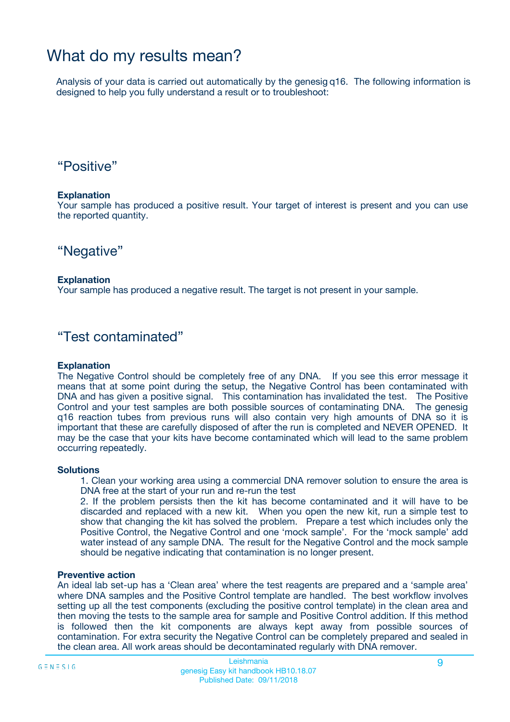## What do my results mean?

Analysis of your data is carried out automatically by the genesig q16. The following information is designed to help you fully understand a result or to troubleshoot:

### "Positive"

#### **Explanation**

Your sample has produced a positive result. Your target of interest is present and you can use the reported quantity.

"Negative"

#### **Explanation**

Your sample has produced a negative result. The target is not present in your sample.

### "Test contaminated"

#### **Explanation**

The Negative Control should be completely free of any DNA. If you see this error message it means that at some point during the setup, the Negative Control has been contaminated with DNA and has given a positive signal. This contamination has invalidated the test. The Positive Control and your test samples are both possible sources of contaminating DNA. The genesig q16 reaction tubes from previous runs will also contain very high amounts of DNA so it is important that these are carefully disposed of after the run is completed and NEVER OPENED. It may be the case that your kits have become contaminated which will lead to the same problem occurring repeatedly.

#### **Solutions**

1. Clean your working area using a commercial DNA remover solution to ensure the area is DNA free at the start of your run and re-run the test

2. If the problem persists then the kit has become contaminated and it will have to be discarded and replaced with a new kit. When you open the new kit, run a simple test to show that changing the kit has solved the problem. Prepare a test which includes only the Positive Control, the Negative Control and one 'mock sample'. For the 'mock sample' add water instead of any sample DNA. The result for the Negative Control and the mock sample should be negative indicating that contamination is no longer present.

#### **Preventive action**

An ideal lab set-up has a 'Clean area' where the test reagents are prepared and a 'sample area' where DNA samples and the Positive Control template are handled. The best workflow involves setting up all the test components (excluding the positive control template) in the clean area and then moving the tests to the sample area for sample and Positive Control addition. If this method is followed then the kit components are always kept away from possible sources of contamination. For extra security the Negative Control can be completely prepared and sealed in the clean area. All work areas should be decontaminated regularly with DNA remover.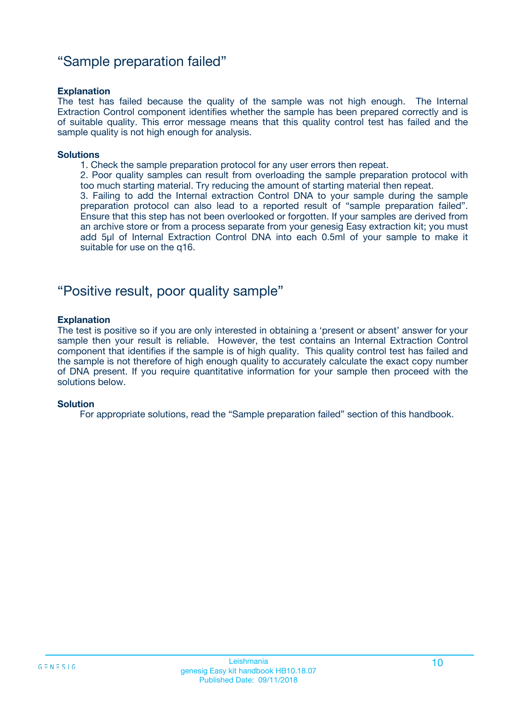### "Sample preparation failed"

#### **Explanation**

The test has failed because the quality of the sample was not high enough. The Internal Extraction Control component identifies whether the sample has been prepared correctly and is of suitable quality. This error message means that this quality control test has failed and the sample quality is not high enough for analysis.

#### **Solutions**

1. Check the sample preparation protocol for any user errors then repeat.

2. Poor quality samples can result from overloading the sample preparation protocol with too much starting material. Try reducing the amount of starting material then repeat.

3. Failing to add the Internal extraction Control DNA to your sample during the sample preparation protocol can also lead to a reported result of "sample preparation failed". Ensure that this step has not been overlooked or forgotten. If your samples are derived from an archive store or from a process separate from your genesig Easy extraction kit; you must add 5µl of Internal Extraction Control DNA into each 0.5ml of your sample to make it suitable for use on the q16.

### "Positive result, poor quality sample"

#### **Explanation**

The test is positive so if you are only interested in obtaining a 'present or absent' answer for your sample then your result is reliable. However, the test contains an Internal Extraction Control component that identifies if the sample is of high quality. This quality control test has failed and the sample is not therefore of high enough quality to accurately calculate the exact copy number of DNA present. If you require quantitative information for your sample then proceed with the solutions below.

#### **Solution**

For appropriate solutions, read the "Sample preparation failed" section of this handbook.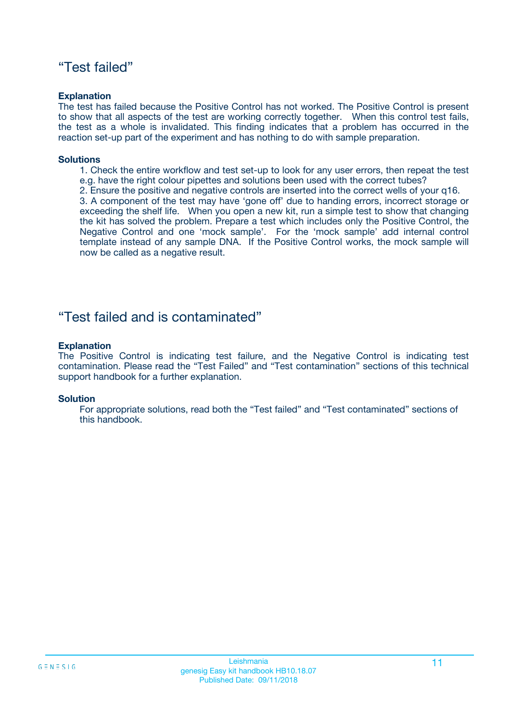### "Test failed"

#### **Explanation**

The test has failed because the Positive Control has not worked. The Positive Control is present to show that all aspects of the test are working correctly together. When this control test fails, the test as a whole is invalidated. This finding indicates that a problem has occurred in the reaction set-up part of the experiment and has nothing to do with sample preparation.

#### **Solutions**

- 1. Check the entire workflow and test set-up to look for any user errors, then repeat the test e.g. have the right colour pipettes and solutions been used with the correct tubes?
- 2. Ensure the positive and negative controls are inserted into the correct wells of your q16.

3. A component of the test may have 'gone off' due to handing errors, incorrect storage or exceeding the shelf life. When you open a new kit, run a simple test to show that changing the kit has solved the problem. Prepare a test which includes only the Positive Control, the Negative Control and one 'mock sample'. For the 'mock sample' add internal control template instead of any sample DNA. If the Positive Control works, the mock sample will now be called as a negative result.

### "Test failed and is contaminated"

#### **Explanation**

The Positive Control is indicating test failure, and the Negative Control is indicating test contamination. Please read the "Test Failed" and "Test contamination" sections of this technical support handbook for a further explanation.

#### **Solution**

For appropriate solutions, read both the "Test failed" and "Test contaminated" sections of this handbook.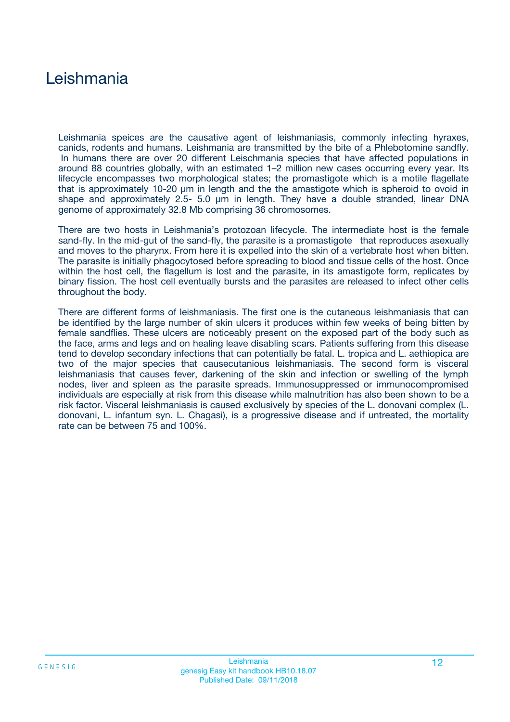## Leishmania

Leishmania speices are the causative agent of leishmaniasis, commonly infecting hyraxes, canids, rodents and humans. Leishmania are transmitted by the bite of a Phlebotomine sandfly. In humans there are over 20 different Leischmania species that have affected populations in around 88 countries globally, with an estimated 1–2 million new cases occurring every year. Its lifecycle encompasses two morphological states; the promastigote which is a motile flagellate that is approximately 10-20 µm in length and the the amastigote which is spheroid to ovoid in shape and approximately 2.5- 5.0 µm in length. They have a double stranded, linear DNA genome of approximately 32.8 Mb comprising 36 chromosomes.

There are two hosts in Leishmania's protozoan lifecycle. The intermediate host is the female sand-fly. In the mid-gut of the sand-fly, the parasite is a promastigote that reproduces asexually and moves to the pharynx. From here it is expelled into the skin of a vertebrate host when bitten. The parasite is initially phagocytosed before spreading to blood and tissue cells of the host. Once within the host cell, the flagellum is lost and the parasite, in its amastigote form, replicates by binary fission. The host cell eventually bursts and the parasites are released to infect other cells throughout the body.

There are different forms of leishmaniasis. The first one is the cutaneous leishmaniasis that can be identified by the large number of skin ulcers it produces within few weeks of being bitten by female sandflies. These ulcers are noticeably present on the exposed part of the body such as the face, arms and legs and on healing leave disabling scars. Patients suffering from this disease tend to develop secondary infections that can potentially be fatal. L. tropica and L. aethiopica are two of the major species that causecutanious leishmaniasis. The second form is visceral leishmaniasis that causes fever, darkening of the skin and infection or swelling of the lymph nodes, liver and spleen as the parasite spreads. Immunosuppressed or immunocompromised individuals are especially at risk from this disease while malnutrition has also been shown to be a risk factor. Visceral leishmaniasis is caused exclusively by species of the L. donovani complex (L. donovani, L. infantum syn. L. Chagasi), is a progressive disease and if untreated, the mortality rate can be between 75 and 100%.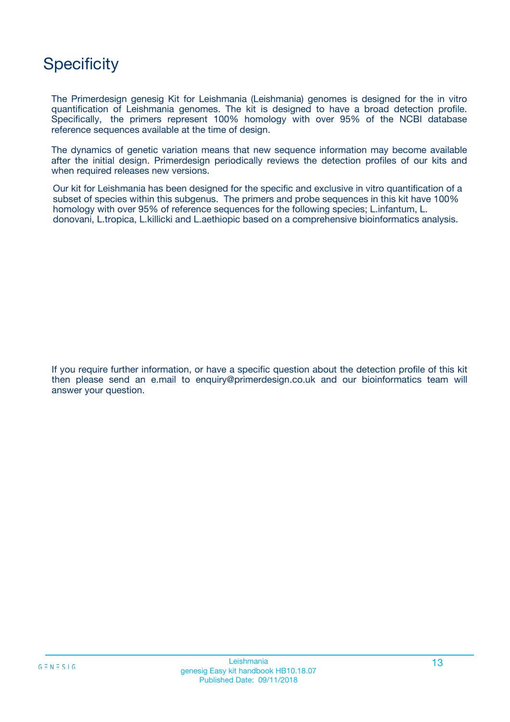## **Specificity**

The Primerdesign genesig Kit for Leishmania (Leishmania) genomes is designed for the in vitro quantification of Leishmania genomes. The kit is designed to have a broad detection profile. Specifically, the primers represent 100% homology with over 95% of the NCBI database reference sequences available at the time of design.

The dynamics of genetic variation means that new sequence information may become available after the initial design. Primerdesign periodically reviews the detection profiles of our kits and when required releases new versions.

Our kit for Leishmania has been designed for the specific and exclusive in vitro quantification of a subset of species within this subgenus. The primers and probe sequences in this kit have 100% homology with over 95% of reference sequences for the following species; L.infantum, L. donovani, L.tropica, L.killicki and L.aethiopic based on a comprehensive bioinformatics analysis.

If you require further information, or have a specific question about the detection profile of this kit then please send an e.mail to enquiry@primerdesign.co.uk and our bioinformatics team will answer your question.